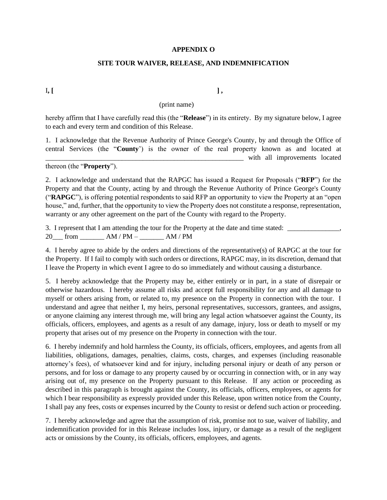## **APPENDIX O**

## **SITE TOUR WAIVER, RELEASE, AND INDEMNIFICATION**

I**, [ ] ,** 

## (print name)

hereby affirm that I have carefully read this (the "**Release**") in its entirety. By my signature below, I agree to each and every term and condition of this Release.

1. I acknowledge that the Revenue Authority of Prince George's County, by and through the Office of central Services (the "**County**') is the owner of the real property known as and located at \_\_\_\_\_\_\_\_\_\_\_\_\_\_\_\_\_\_\_\_\_\_\_\_\_\_\_\_\_\_\_\_\_\_\_\_\_\_\_\_\_\_\_\_\_\_\_\_\_\_\_\_\_\_\_\_\_ with all improvements located

thereon (the "**Property**").

2. I acknowledge and understand that the RAPGC has issued a Request for Proposals ("**RFP**") for the Property and that the County, acting by and through the Revenue Authority of Prince George's County ("**RAPGC**"), is offering potential respondents to said RFP an opportunity to view the Property at an "open house," and, further, that the opportunity to view the Property does not constitute a response, representation, warranty or any other agreement on the part of the County with regard to the Property.

3. I represent that I am attending the tour for the Property at the date and time stated: \_\_\_\_\_\_\_\_\_\_\_\_\_\_\_,

 $20$  from  $AM/PM AM/PM$ 

4. I hereby agree to abide by the orders and directions of the representative(s) of RAPGC at the tour for the Property. If I fail to comply with such orders or directions, RAPGC may, in its discretion, demand that I leave the Property in which event I agree to do so immediately and without causing a disturbance.

5. I hereby acknowledge that the Property may be, either entirely or in part, in a state of disrepair or otherwise hazardous. I hereby assume all risks and accept full responsibility for any and all damage to myself or others arising from, or related to, my presence on the Property in connection with the tour. I understand and agree that neither I, my heirs, personal representatives, successors, grantees, and assigns, or anyone claiming any interest through me, will bring any legal action whatsoever against the County, its officials, officers, employees, and agents as a result of any damage, injury, loss or death to myself or my property that arises out of my presence on the Property in connection with the tour.

6. I hereby indemnify and hold harmless the County, its officials, officers, employees, and agents from all liabilities, obligations, damages, penalties, claims, costs, charges, and expenses (including reasonable attorney's fees), of whatsoever kind and for injury, including personal injury or death of any person or persons, and for loss or damage to any property caused by or occurring in connection with, or in any way arising out of, my presence on the Property pursuant to this Release. If any action or proceeding as described in this paragraph is brought against the County, its officials, officers, employees, or agents for which I bear responsibility as expressly provided under this Release, upon written notice from the County, I shall pay any fees, costs or expenses incurred by the County to resist or defend such action or proceeding.

7. I hereby acknowledge and agree that the assumption of risk, promise not to sue, waiver of liability, and indemnification provided for in this Release includes loss, injury, or damage as a result of the negligent acts or omissions by the County, its officials, officers, employees, and agents.